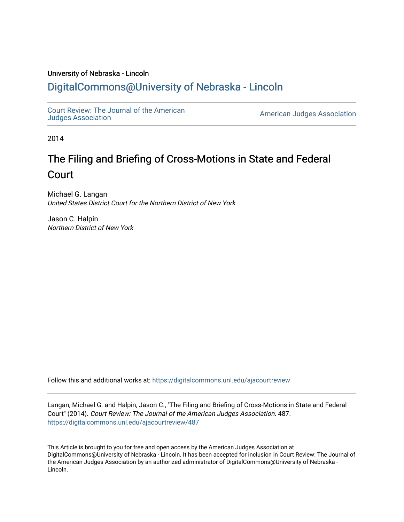### University of Nebraska - Lincoln

## [DigitalCommons@University of Nebraska - Lincoln](https://digitalcommons.unl.edu/)

[Court Review: The Journal of the American](https://digitalcommons.unl.edu/ajacourtreview)

[Judges Association](https://digitalcommons.unl.edu/ajacourtreview) [American Judges Association](https://digitalcommons.unl.edu/amjudgesassn) 

2014

# The Filing and Briefing of Cross-Motions in State and Federal Court

Michael G. Langan United States District Court for the Northern District of New York

Jason C. Halpin Northern District of New York

Follow this and additional works at: [https://digitalcommons.unl.edu/ajacourtreview](https://digitalcommons.unl.edu/ajacourtreview?utm_source=digitalcommons.unl.edu%2Fajacourtreview%2F487&utm_medium=PDF&utm_campaign=PDFCoverPages) 

Langan, Michael G. and Halpin, Jason C., "The Filing and Briefing of Cross-Motions in State and Federal Court" (2014). Court Review: The Journal of the American Judges Association. 487. [https://digitalcommons.unl.edu/ajacourtreview/487](https://digitalcommons.unl.edu/ajacourtreview/487?utm_source=digitalcommons.unl.edu%2Fajacourtreview%2F487&utm_medium=PDF&utm_campaign=PDFCoverPages) 

This Article is brought to you for free and open access by the American Judges Association at DigitalCommons@University of Nebraska - Lincoln. It has been accepted for inclusion in Court Review: The Journal of the American Judges Association by an authorized administrator of DigitalCommons@University of Nebraska -Lincoln.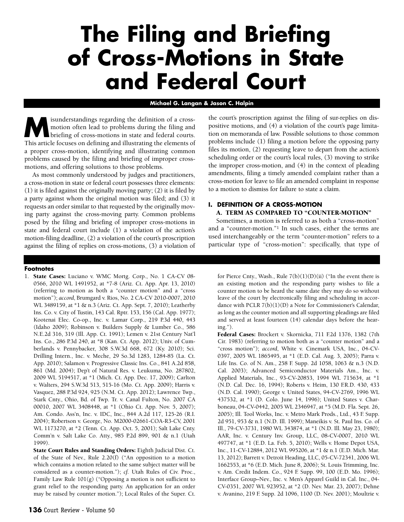# **The Filing and Briefing of Cross-Motions in State and Federal Court**

#### **Michael G. Langan & Jason C. Halpin**

**M**isunderstandings regarding the definition of a cross-<br>motion often lead to problems during the filing and<br>briefing of cross-motions in state and federal courts.<br>This article focuses on defining and illustrating the elem motion often lead to problems during the filing and briefing of cross-motions in state and federal courts. This article focuses on defining and illustrating the elements of a proper cross-motion, identifying and illustrating common problems caused by the filing and briefing of improper crossmotions, and offering solutions to those problems.

As most commonly understood by judges and practitioners, a cross-motion in state or federal court possesses three elements: (1) it is filed against the originally moving party; (2) it is filed by a party against whom the original motion was filed; and (3) it requests an order similar to that requested by the originally moving party against the cross-moving party. Common problems posed by the filing and briefing of improper cross-motions in state and federal court include (1) a violation of the action's motion-filing deadline, (2) a violation of the court's proscription against the filing of replies on cross-motions, (3) a violation of

#### **Footnotes**

1. **State Cases:** Luciano v. WMC Mortg. Corp., No. 1 CA-CV 08- 0566, 2010 WL 1491952, at \*7-8 (Ariz. Ct. App. Apr. 13, 2010) (referring to motion as both a "counter motion" and a "cross motion"); *accord*, Brumgard v. Rios, No. 2 CA-CV 2010-0007, 2010 WL 3489159, at \*1 & n.3 (Ariz. Ct. App. Sept. 7, 2010); Leatherby Ins. Co. v. City of Tustin, 143 Cal. Rptr. 153, 156 (Cal. App. 1977); Kootenai Elec. Co-op., Inc. v. Lamar Corp., 219 P.3d 440, 443 (Idaho 2009); Robinson v. Builders Supply & Lumber Co., 586 N.E.2d 316, 319 (Ill. App. Ct. 1991); Lemen v. 21st Century Nat'l Ins. Co*.*, 286 P.3d 240, at \*8 (Kan. Ct. App. 2012); Univ. of Cumberlands v. Pennybacker, 308 S.W.3d 668, 672 (Ky. 2010); Sci. Drilling Intern., Inc. v. Meche, 29 So.3d 1283, 1284-85 (La. Ct. App. 2010); Salamon v. Progressive Classic Ins. Co., 841 A.2d 858, 861 (Md. 2004); Dep't of Natural Res. v. Leukuma, No. 287802, 2009 WL 5194517, at \*1 (Mich. Ct. App. Dec. 17, 2009); Carlton v. Walters, 294 S.W.3d 513, 515-16 (Mo. Ct. App. 2009); Harris v. Vasquez, 288 P.3d 924, 925 (N.M. Ct. App. 2012); Lawrence Twp., Stark Cnty., Ohio, Bd. of Twp. Tr. v. Canal Fulton, No. 2007 CA 00010, 2007 WL 3408448, at \*1 (Ohio Ct. App. Nov. 5, 2007); Am. Condo. Ass'n, Inc. v. IDC, Inc., 844 A.2d 117, 125-26 (R.I. 2004); Robertson v. George, No. M2000-02661-COA-R3-CV, 2001 WL 1173270, at \*2 (Tenn. Ct. App. Oct. 5, 2001); Salt Lake Cnty. Comm'n v. Salt Lake Co. Atty., 985 P.2d 899, 901 & n.1 (Utah 1999).

**State Court Rules and Standing Orders:** Eighth Judicial Dist. Ct. of the State of Nev., Rule 2.20(f) ("An opposition to a motion which contains a motion related to the same subject matter will be considered as a counter-motion."); *cf.* Utah Rules of Civ. Proc., Family Law Rule 101(g) ("Opposing a motion is not sufficient to grant relief to the responding party. An application for an order may be raised by counter motion."); Local Rules of the Super. Ct. the court's proscription against the filing of sur-replies on dispositive motions, and (4) a violation of the court's page limitation on memoranda of law. Possible solutions to those common problems include (1) filing a motion before the opposing party files its motion, (2) requesting leave to depart from the action's scheduling order or the court's local rules, (3) moving to strike the improper cross-motion, and (4) in the context of pleading amendments, filing a timely amended complaint rather than a cross-motion for leave to file an amended complaint in response to a motion to dismiss for failure to state a claim.

#### **I. DEFINITION OF A CROSS-MOTION A. TERM AS COMPARED TO "COUNTER-MOTION"**

Sometimes, a motion is referred to as both a "cross-motion" and a "counter-motion."1 In such cases, either the terms are used interchangeably or the term "counter-motion" refers to a particular type of "cross-motion": specifically, that type of

for Pierce Cnty., Wash., Rule  $7(b)(1)(D)(ii)$  ("In the event there is an existing motion and the responding party wishes to file a counter motion to be heard the same date they may do so without leave of the court by electronically filing and scheduling in accordance with PCLR 7(b)(1)(D) a Note for Commissioner's Calendar, as long as the counter motion and all supporting pleadings are filed and served at least fourteen (14) calendar days before the hearing.").

**Federal Cases:** Brockert v. Skornicka, 711 F.2d 1376, 1382 (7th Cir. 1983) (referring to motion both as a "counter motion" and a "cross motion"); *accord*, White v. Cinemark USA, Inc., 04-CV-0397, 2005 WL 1865495, at \*1 (E.D. Cal. Aug. 3, 2005); Parra v. Life Ins. Co. of N. Am., 258 F. Supp. 2d 1058, 1063 & n.3 (N.D. Cal. 2003); Advanced Semiconductor Materials Am., Inc. v. Applied Materials, Inc., 93-CV-20853, 1994 WL 715634, at \*1 (N.D. Cal. Dec. 16, 1994); Roberts v. Heim, 130 F.R.D. 430, 433 (N.D. Cal. 1990); George v. United States, 94-CV-2769, 1996 WL 437532, at \*1 (D. Colo. June 14, 1996); United States v. Charboneau, 04-CV-0442, 2005 WL 2346947, at \*5 (M.D. Fla. Sept. 26, 2005); Ill. Tool Works, Inc. v. Metro Mark Prods., Ltd., 43 F. Supp. 2d 951, 953 & n.1 (N.D. Ill. 1999); Maneikis v. St. Paul Ins. Co. of Ill., 79-CV-3731, 1980 WL 343874, at \*1 (N.D. Ill. May 23, 1980); AAR, Inc. v. Century Inv. Group, LLC, 08-CV-0007, 2010 WL 497747, at \*1 (E.D. La. Feb. 5, 2010); Wells v. Home Depot USA, Inc., 11-CV-12884, 2012 WL 995206, at \*1 & n.1 (E.D. Mich. Mar. 13, 2012); Barrett v. Detroit Heading, LLC, 05-CV-72341, 2006 WL 1662553, at \*6 (E.D. Mich. June 8, 2006); St. Louis Trimming, Inc. v. Am. Credit Indem. Co., 924 F. Supp. 99, 100 (E.D. Mo. 1996); Interface Group–Nev., Inc. v. Men's Apparel Guild in Cal. Inc., 04- CV-0351, 2007 WL 923952, at \*2 (D. Nev. Mar. 23, 2007); Dehne v. Avanino, 219 F. Supp. 2d 1096, 1100 (D. Nev. 2001); Moultrie v.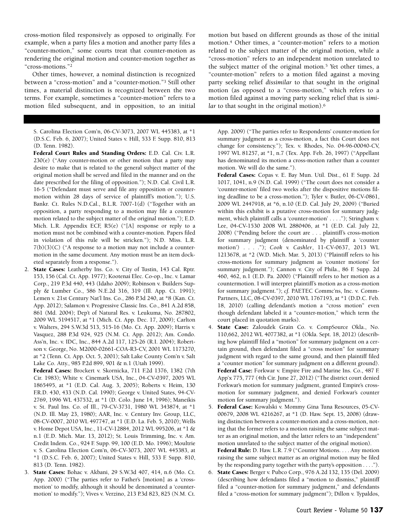cross-motion filed responsively as opposed to originally. For example, when a party files a motion and another party files a "counter-motion," some courts treat that counter-motion as rendering the original motion and counter-motion together as "cross-motions."2

Other times, however, a nominal distinction is recognized between a "cross-motion" and a "counter-motion."3 Still other times, a material distinction is recognized between the two terms. For example, sometimes a "counter-motion" refers to a motion filed subsequent, and in opposition, to an initial

S. Carolina Election Com'n, 06-CV-3073, 2007 WL 445383, at \*1 (D.S.C. Feb. 6, 2007); United States v. Hill, 533 F. Supp. 810, 813 (D. Tenn. 1982).

**Federal Court Rules and Standing Orders:** E.D. Cal. Civ. L.R. 230(e) ("Any counter-motion or other motion that a party may desire to make that is related to the general subject matter of the original motion shall be served and filed in the manner and on the date prescribed for the filing of opposition."); N.D. Cal. Civil L.R. 16-5 ("Defendant must serve and file any opposition or countermotion within 28 days of service of plaintiff's motion."); U.S. Bankr. Ct. Rules N.D.Cal., B.L.R. 7007-1(d) ("Together with an opposition, a party responding to a motion may file a countermotion related to the subject matter of the original motion."); E.D. Mich. L.R. Appendix ECF,  $R5(e)$  ("[A] response or reply to a motion must not be combined with a counter-motion. Papers filed in violation of this rule will be stricken."); N.D. Miss. L.R.  $7(b)(3)(C)$  ("A response to a motion may not include a countermotion in the same document. Any motion must be an item docketed separately from a response.").

2. **State Cases:** Leatherby Ins. Co. v. City of Tustin, 143 Cal. Rptr. 153, 156 (Cal. Ct. App. 1977); Kootenai Elec. Co-op., Inc. v. Lamar Corp., 219 P.3d 440, 443 (Idaho 2009); Robinson v. Builders Supply & Lumber Co., 586 N.E.2d 316, 319 (Ill. App. Ct. 1991); Lemen v. 21st Century Nat'l Ins. Co*.*, 286 P.3d 240, at \*8 (Kan. Ct. App. 2012); Salamon v. Progressive Classic Ins. Co., 841 A.2d 858, 861 (Md. 2004); Dep't of Natural Res. v. Leukuma, No. 287802, 2009 WL 5194517, at \*1 (Mich. Ct. App. Dec. 17, 2009); Carlton v. Walters, 294 S.W.3d 513, 515-16 (Mo. Ct. App. 2009); Harris v. Vasquez, 288 P.3d 924, 925 (N.M. Ct. App. 2012); Am. Condo. Ass'n, Inc. v. IDC, Inc., 844 A.2d 117, 125-26 (R.I. 2004); Robertson v. George, No. M2000-02661-COA-R3-CV, 2001 WL 1173270, at \*2 (Tenn. Ct. App. Oct. 5, 2001); Salt Lake County Com'n v. Salt Lake Co. Atty., 985 P.2d 899, 901 & n.1 (Utah 1999).

**Federal Cases:** Brockert v. Skornicka, 711 F.2d 1376, 1382 (7th Cir. 1983); White v. Cinemark USA, Inc., 04-CV-0397, 2005 WL 1865495, at \*1 (E.D. Cal. Aug. 3, 2005); Roberts v. Heim, 130 F.R.D. 430, 433 (N.D. Cal. 1990); George v. United States, 94-CV-2769, 1996 WL 437532, at \*1 (D. Colo. June 14, 1996); Maneikis v. St. Paul Ins. Co. of Ill., 79-CV-3731, 1980 WL 343874, at \*1 (N.D. Ill. May 23, 1980); AAR, Inc. v. Century Inv. Group, LLC, 08-CV-0007, 2010 WL 497747, at \*1 (E.D. La. Feb. 5, 2010); Wells v. Home Depot USA, Inc., 11-CV-12884, 2012 WL 995206, at \*1 & n.1 (E.D. Mich. Mar. 13, 2012); St. Louis Trimming, Inc. v. Am. Credit Indem. Co., 924 F. Supp. 99, 100 (E.D. Mo. 1996); Moultrie v. S. Carolina Election Com'n, 06-CV-3073, 2007 WL 445383, at \*1 (D.S.C. Feb. 6, 2007); United States v. Hill, 533 F. Supp. 810, 813 (D. Tenn. 1982).

3. **State Cases:** Bohac v. Akbani, 29 S.W.3d 407, 414, n.6 (Mo. Ct. App. 2000) ("The parties refer to Father's [motion] as a 'crossmotion' to modify, although it should be denominated a 'countermotion' to modify."); Vives v. Verzino, 213 P.3d 823, 825 (N.M. Ct. motion but based on different grounds as those of the initial motion.4 Other times, a "counter-motion" refers to a motion related to the subject matter of the original motion, while a "cross-motion" refers to an independent motion unrelated to the subject matter of the original motion.5 Yet other times, a "counter-motion" refers to a motion filed against a moving party seeking relief *dissimilar* to that sought in the original motion (as opposed to a "cross-motion," which refers to a motion filed against a moving party seeking relief that is *similar* to that sought in the original motion).6

App. 2009) ("The parties refer to Respondents' counter-motion for summary judgment as a cross-motion, a fact this Court does not change for consistency."); Tex. v. Rhodes, No. 04-96-00040-CV, 1997 WL 81257, at \*1, n.7 (Tex. App. Feb. 26, 1997) ("Appellant has denominated its motion a cross-motion rather than a counter motion. We will do the same.").

**Federal Cases:** Copas v. E. Bay Mun. Util. Dist., 61 F. Supp. 2d 1017, 1041, n.9 (N.D. Cal. 1999) ("The court does not consider a 'counter-motion' filed two weeks after the dispositive motions filing deadline to be a cross-motion."); Tyler v. Butler, 06-CV-0861, 2009 WL 2447918, at \*6, n.10 (E.D. Cal. July 29, 2009) ("Buried within this exhibit is a putative cross-motion for summary judgment, which plaintiff calls a 'counter-motion' . . . ."); Stringham v. Lee, 04-CV-1530 2008 WL 2880406, at \*1 (E.D. Cal. July 22, 2008) ("Pending before the court are . . . plaintiff's cross-motion for summary judgment (denominated by plaintiff a 'counter motion') . . . ."); *Cook v. Cashler*, 11-CV-0637, 2013 WL 1213678, at \*2 (W.D. Mich. Mar. 5, 2013) ("Plaintiff refers to his cross-motions for summary judgment as 'counter motions' for summary judgment."); Cannon v. City of Phila., 86 F. Supp. 2d 460, 462, n.1 (E.D. Pa. 2000) ("Plaintiff refers to her motion as a countermotion. I will interpret plaintiff's motion as a cross-motion for summary judgment."); *cf.* PAETEC Commc'ns, Inc. v. Comm-Partners, LLC, 08-CV-0397, 2010 WL 1767193, at \*1 (D.D.C. Feb. 18, 2010) (calling defendant's motion a "cross motion" even though defendant labeled it a "counter-motion," which term the court placed in quotation marks).

4. **State Case:** Zaloudek Grain Co. v. CompSource Okla., No. 110,662, 2012 WL 4077382, at \*1 (Okla. Sept. 18, 2012) (describing how plaintiff filed a "motion" for summary judgment on a certain ground, then defendant filed a "cross motion" for summary judgment with regard to the same ground, and then plaintiff filed a "counter motion" for summary judgment on a different ground). **Federal Case:** Forkwar v. Empire Fire and Marine Ins. Co., 487 F. App'x 775, 777 (4th Cir. June 27, 2012) ("The district court denied Forkwar's motion for summary judgment, granted Empire's crossmotion for summary judgment, and denied Forkwar's counter motion for summary judgment.").

5. **Federal Case:** Kowalski v. Mommy Gina Tuna Resources, 05-CV-00679, 2008 WL 4216267, at \*1 (D. Haw. Sept. 15, 2008) (drawing distinction between a counter-motion and a cross-motion, noting that the former refers to a motion raising the same subject matter as an original motion, and the latter refers to an "independent" motion unrelated to the subject matter of the original motion).

**Federal Rule:** D. Haw. L.R. 7.9 ("Counter Motions. . . . Any motion raising the same subject matter as an original motion may be filed by the responding party together with the party's opposition . . . .").

6. **State Cases:** Berger v. Pubco Corp., 976 A.2d 132, 135 (Del. 2009) (describing how defendants filed a "motion to dismiss," plaintiff filed a "counter-motion for summary judgment," and defendants filed a "cross-motion for summary judgment"); Dillon v. Typaldos,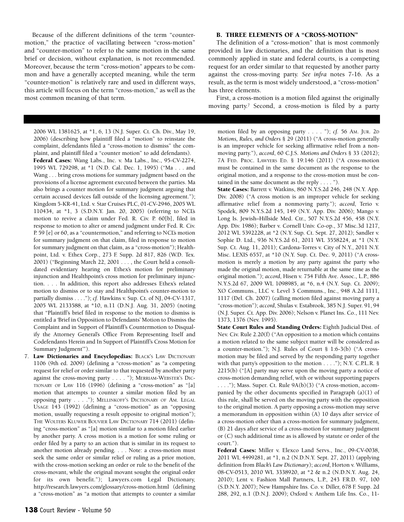Because of the different definitions of the term "countermotion," the practice of vacillating between "cross-motion" and "counter-motion" to refer to the same motion in the same brief or decision, without explanation, is not recommended. Moreover, because the term "cross-motion" appears to be common and have a generally accepted meaning, while the term "counter-motion" is relatively rare and used in different ways, this article will focus on the term "cross-motion," as well as the most common meaning of that term.

2006 WL 1381625, at \*1, 6, 13 (N.J. Super. Ct. Ch. Div., May 19, 2006) (describing how plaintiff filed a "motion" to reinstate the complaint, defendants filed a "cross-motion to dismiss" the complaint, and plaintiff filed a "counter motion" to add defendants). **Federal Cases:** Wang Labs., Inc. v. Ma Labs., Inc., 95-CV-2274, 1995 WL 729298, at \*1 (N.D. Cal. Dec. 1, 1995) ("Ma . . . and Wang . . . bring cross motions for summary judgment based on the provisions of a license agreement executed between the parties. Ma also brings a counter motion for summary judgment arguing that certain accused devices fall outside of the licensing agreement."); Kingdom 5-KR-41, Ltd. v. Star Cruises PLC, 01-CV-2946, 2005 WL 110434, at \*1, 3 (S.D.N.Y. Jan. 20, 2005) (referring to NCL's motion to revive a claim under Fed. R. Civ. P. 60[b], filed in response to motion to alter or amend judgment under Fed. R. Civ. P. 59 [e] or 60, as a "countermotion," and referring to NCL's motion for summary judgment on that claim, filed in response to motion for summary judgment on that claim, as a "cross-motion"); Healthpoint, Ltd. v. Ethex Corp., 273 F. Supp. 2d 817, 826 (W.D. Tex. 2001) ("Beginning March 22, 2001 . . . , the Court held a consolidated evidentiary hearing on Ethex's motion for preliminary injunction and Healthpoint's cross motion for preliminary injunction. . . . In addition, this report also addresses Ethex's related motion to dismiss or to stay and Healthpoint's counter-motion to partially dismiss . . . ."); *cf.* Hawkins v. Sup. Ct. of NJ, 04-CV-1317, 2005 WL 2133588, at \*10, n.11 (D.N.J. Aug. 31, 2005) (noting that "Plaintiff's brief filed in response to the motion to dismiss is entitled a 'Brief in Opposition to Defendants' Motion to Dismiss the Complaint and in Support of Plaintiff's Countermotion to Disqualify the Attorney General's Office From Representing Itself and Codefendants Herein and In Support of Plaintiff's Cross Motion for Summary Judgment'").

7. **Law Dictionaries and Encyclopedias:** BLACK'S LAW DICTIONARY 1106 (9th ed. 2009) (defining a "cross-motion" as "a competing request for relief or order similar to that requested by another party against the cross-moving party . . . . "); MERRIAM-WEBSTER'S DIC-TIONARY OF LAW 116 (1996) (defining a "cross-motion" as "[a] motion that attempts to counter a similar motion filed by an opposing party . . . ."); MELLINKOFF'S DICTIONARY OF AM. LEGAL USAGE 143 (1992) (defining a "cross-motion" as an "opposing motion, usually requesting a result opposite to original motion"); THE WOLTERS KLUWER BOUVIER LAW DICTIONARY 714 (2011) (defining "cross-motion" as "[a] motion similar to a motion filed earlier by another party. A cross motion is a motion for some ruling or order filed by a party to an action that is similar in its request to another motion already pending. . . . Note: a cross-motion must seek the same order or similar relief or ruling as a prior motion, with the cross-motion seeking an order or rule to the benefit of the cross-movant, while the original movant sought the original order for its own benefit."); Lawyers.com Legal Dictionary, http://research.lawyers.com/glossary/cross-motion.html (defining a "cross-motion" as "a motion that attempts to counter a similar

#### **B. THREE ELEMENTS OF A "CROSS-MOTION"**

The definition of a "cross-motion" that is most commonly provided in law dictionaries, and the definition that is most commonly applied in state and federal courts, is a competing request for an order similar to that requested by another party against the cross-moving party. *See infra* notes 7-16. As a result, as the term is most widely understood, a "cross-motion" has three elements.

First, a cross-motion is a motion filed against the originally moving party.7 Second, a cross-motion is filed by a party

motion filed by an opposing party . . . . "); *cf.* 56 AM. JUR. 2D *Motions, Rules, and Orders* § 29 (2011) ("A cross-motion generally is an improper vehicle for seeking affirmative relief from a nonmoving party."), *accord*, 60 C.J.S. *Motions and Orders* § 33 (2012); 7A FED. PROC. LAWYERS ED. § 19:146 (2011) ("A cross-motion must be contained in the same document as the response to the original motion, and a response to the cross-motion must be contained in the same document as the reply . . . . ").

**State Cases:** Barrett v. Watkins, 860 N.Y.S.2d 246, 248 (N.Y. App. Div. 2008) ("A cross motion is an improper vehicle for seeking affirmative relief from a nonmoving party."); *accord*, Terio v. Spodek, 809 N.Y.S.2d 145, 149 (N.Y. App. Div. 2006); Mango v. Long Is. Jewish–Hillside Med. Ctr., 507 N.Y.S.2d 456, 458 (N.Y. App. Div. 1986); Barber v. Cornell Univ. Co-op., 37 Misc.3d 1217, 2012 WL 5392228, at \*2 (N.Y. Sup. Ct. Sept. 27, 2012); Sandler v. Sophie D. Ltd., 936 N.Y.S.2d 61, 2011 WL 3558224, at \*1 (N.Y. Sup. Ct. Aug. 11, 2011); Cardona-Torres v. City of N.Y., 2011 N.Y. Misc. LEXIS 6557, at \*10 (N.Y. Sup. Ct. Dec. 9, 2011) ("A crossmotion is merely a motion by any party against the party who made the original motion, made returnable at the same time as the original motion."); *accord*, Hisen v. 754 Fifth Ave. Assoc., L.P., 886 N.Y.S.2d 67, 2009 WL 1098985, at \*6, n.4 (N.Y. Sup. Ct. 2009); XO Communs., LLC v. Level 3 Communs., Inc., 948 A.2d 1111, 1117 (Del. Ch. 2007) (calling motion filed against moving party a "cross-motion"); *accord*, Shulas v. Estabrook, 385 N.J. Super. 91, 94 (N.J. Super. Ct. App. Div. 2006); Nelson v. Planet Ins. Co., 111 Nev. 1373, 1376 (Nev. 1995).

**State Court Rules and Standing Orders:** Eighth Judicial Dist. of Nev. Civ. Rule 2.20(f) ("An opposition to a motion which contains a motion related to the same subject matter will be considered as a counter-motion."); N.J. Rules of Court § 1:6-3(b) ("A crossmotion may be filed and served by the responding party together with that party's opposition to the motion  $\dots$ ."); N.Y. C.P.L.R. § 2215(b) ("[A] party may serve upon the moving party a notice of cross-motion demanding relief, with or without supporting papers . . . ."); Mass. Super. Ct. Rule 9A(b)(3) ("A cross-motion, accompanied by the other documents specified in Paragraph (a)(1) of this rule, shall be served on the moving party with the opposition to the original motion. A party opposing a cross-motion may serve a memorandum in opposition within (A) 10 days after service of a cross-motion other than a cross-motion for summary judgment, (B) 21 days after service of a cross-motion for summary judgment or (C) such additional time as is allowed by statute or order of the court.").

**Federal Cases:** Miller v. Elexco Land Servs., Inc., 09-CV-0038, 2011 WL 4499281, at \*1, n.2 (N.D.N.Y. Sept. 27, 2011) (applying definition from *Black's Law Dictionary*); *accord*, Horton v. Williams, 08-CV-0513, 2010 WL 3338920, at \*2 & n.2 (N.D.N.Y. Aug. 24, 2010); Lent v. Fashion Mall Partners, L.P., 243 F.R.D. 97, 100 (S.D.N.Y. 2007); New Hampshire Ins. Co. v. Diller, 678 F. Supp. 2d 288, 292, n.1 (D.N.J. 2009); Oxford v. Anthem Life Ins. Co., 11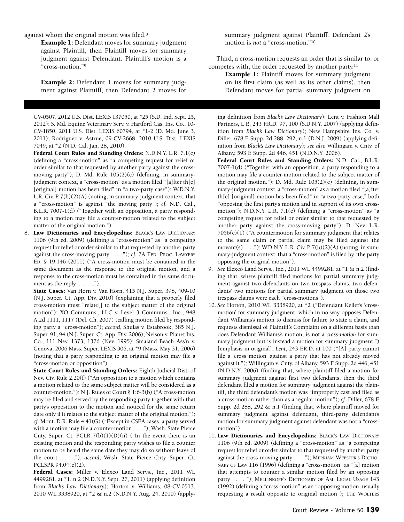against whom the original motion was filed.8

**Example 1:** Defendant moves for summary judgment against Plaintiff, then Plaintiff moves for summary judgment against Defendant. Plaintiff's motion is a "cross-motion."9

**Example 2:** Defendant 1 moves for summary judgment against Plaintiff, then Defendant 2 moves for

CV-0507, 2012 U.S. Dist. LEXIS 137050, at \*25 (S.D. Ind. Sept. 25, 2012); S. Md. Equine Veterinary Serv. v. Hartford Cas. Ins. Co., 10- CV-1850, 2011 U.S. Dist. LEXIS 60794, at \*1-2 (D. Md. June 3, 2011); Rodriguez v. Astrue, 09-CV-2668, 2010 U.S. Dist. LEXIS 7049, at \*2 (N.D. Cal. Jan. 28, 2010).

**Federal Court Rules and Standing Orders:** N.D.N.Y. L.R. 7.1(c) (defining a "cross-motion" as "a competing request for relief or order similar to that requested by another party against the crossmoving party"); D. Md. Rule  $105(2)(c)$  (defining, in summaryjudgment context, a "cross-motion" as a motion filed "[a]fter th[e] [original] motion has been filed" in "a two-party case"); W.D.N.Y. L.R. Civ. P.  $7(b)(2)(A)$  (noting, in summary-judgment context, that a "cross-motion" is against "the moving party"); *cf*. N.D. Cal., B.L.R. 7007-1(d) ("Together with an opposition, a party responding to a motion may file a counter-motion related to the subject matter of the original motion.").

8. **Law Dictionaries and Encyclopedias:** BLACK'S LAW DICTIONARY 1106 (9th ed. 2009) (defining a "cross-motion" as "a competing request for relief or order similar to that requested by another party against the cross-moving party . . . ."); *cf*. 7A FED. PROC. LAWYERS ED. § 19:146 (2011) ("A cross-motion must be contained in the same document as the response to the original motion, and a response to the cross-motion must be contained in the same document as the reply  $\ldots$  .").

**State Cases:** Van Horn v. Van Horn, 415 N.J. Super. 398, 409-10 (N.J. Super. Ct. App. Div. 2010) (explaining that a properly filed cross-motion must "relate[] to the subject matter of the original motion"); XO Communs., LLC v. Level 3 Communs., Inc., 948 A.2d 1111, 1117 (Del. Ch. 2007) (calling motion filed by responding party a "cross-motion"); *accord*, Shulas v. Estabrook, 385 N.J. Super. 91, 94 (N.J. Super. Ct. App. Div. 2006); Nelson v. Planet Ins. Co., 111 Nev. 1373, 1376 (Nev. 1995); Smaland Beach Ass'n v. Genova, 2006 Mass. Super. LEXIS 306, at \*9 (Mass. May 31, 2006) (noting that a party responding to an original motion may file a "cross-motion or opposition").

**State Court Rules and Standing Orders:** Eighth Judicial Dist. of Nev. Civ. Rule 2.20(f) ("An opposition to a motion which contains a motion related to the same subject matter will be considered as a counter-motion."); N.J. Rules of Court § 1:6-3(b) ("A cross-motion may be filed and served by the responding party together with that party's opposition to the motion and noticed for the same return date only if it relates to the subject matter of the original motion."); *cf*. Mont. D.R. Rule 4.41(G) ("Except in CSEA cases, a party served with a motion may file a counter-motion . . . ."); Wash. State Pierce Cnty. Super. Ct. PCLR  $7(b)(1)(D)(ii)$  ("In the event there is an existing motion and the responding party wishes to file a counter motion to be heard the same date they may do so without leave of the court . . . ."), *accord*, Wash. State Pierce Cnty. Super. Ct. PCLSPR 94.04(c)(2).

**Federal Cases:** Miller v. Elexco Land Servs., Inc., 2011 WL 4499281, at \*1, n.2 (N.D.N.Y. Sept. 27, 2011) (applying definition from *Black's Law Dictionary*); Horton v. Williams, 08-CV-0513, 2010 WL 3338920, at \*2 & n.2 (N.D.N.Y. Aug. 24, 2010) (applysummary judgment against Plaintiff. Defendant 2's motion is *not* a "cross-motion."10

Third, a cross-motion requests an order that is similar to, or competes with, the order requested by another party.11

**Example 1:** Plaintiff moves for summary judgment on its first claim (as well as its other claims), then Defendant moves for partial summary judgment on

ing definition from *Black's Law Dictionary*); Lent v. Fashion Mall Partners, L.P., 243 F.R.D. 97, 100 (S.D.N.Y. 2007) (applying definition from *Black's Law Dictionary*); New Hampshire Ins. Co. v. Diller, 678 F. Supp. 2d 288, 292, n.1 (D.N.J. 2009) (applying definition from *Black's Law Dictionary*); *see also* Willingam v. Cnty. of Albany, 593 F. Supp. 2d 446, 451 (N.D.N.Y. 2006).

- **Federal Court Rules and Standing Orders:** N.D. Cal., B.L.R. 7007-1(d) ("Together with an opposition, a party responding to a motion may file a counter-motion related to the subject matter of the original motion."); D. Md. Rule  $105(2)(c)$  (defining, in summary-judgment context, a "cross-motion" as a motion filed "[a]fter th[e] [original] motion has been filed" in "a two-party case," both "opposing the first party's motion and in support of its own crossmotion"); N.D.N.Y. L.R. 7.1(c) (defining a "cross-motion" as "a competing request for relief or order similar to that requested by another party against the cross-moving party"); D. Nev. L.R.  $7056(e)(1)$  ("A countermotion for summary judgment that relates to the same claim or partial claim may be filed against the movant(s) . . . . "); W.D.N.Y. L.R. Civ. P.  $7(b)(2)(A)$  (noting, in summary-judgment context, that a "cross-motion" is filed by "the party opposing the original motion").
- 9. *See* Elexco Land Servs., Inc., 2011 WL 4499281, at \*1 & n.2 (finding that, where plaintiff filed motions for partial summary judgment against two defendants on two trespass claims, two defendants' two motions for partial summary judgment on those two trespass claims were each "cross-motions").
- 10. *See* Horton, 2010 WL 3338920, at \*2 ("Defendant Keller's 'crossmotion' for summary judgment, which in no way opposes Defendant Williams's motion to dismiss for failure to state a claim, and requests dismissal of Plaintiff's Complaint on a different basis than does Defendant Williams's motion, is not a *cross-motion* for summary judgment but is instead a motion for summary judgment.") [emphasis in original]; *Lent*, 243 F.R.D. at 100 ("[A] party cannot file a 'cross motion' against a party that has not already moved against it."); Willingam v. Cnty. of Albany, 593 F. Supp. 2d 446, 451 (N.D.N.Y. 2006) (finding that, where plaintiff filed a motion for summary judgment against first two defendants, then the third defendant filed a motion for summary judgment against the plaintiff, the third defendant's motion was "improperly cast and filed as a cross-motion rather than as a regular motion"); *cf.* Diller, 678 F. Supp. 2d 288, 292 & n.1 (finding that, where plaintiff moved for summary judgment against defendant, third-party defendant's motion for summary judgment against defendant was not a "crossmotion").
- 11. **Law Dictionaries and Encyclopedias:** BLACK'S LAW DICTIONARY 1106 (9th ed. 2009) (defining a "cross-motion" as "a competing request for relief or order similar to that requested by another party against the cross-moving party . . . ."); MERRIAM-WEBSTER'S DICTIO-NARY OF LAW 116 (1996) (defining a "cross-motion" as "[a] motion that attempts to counter a similar motion filed by an opposing party . . . . "); MELLINKOFF'S DICTIONARY OF AM. LEGAL USAGE 143 (1992) (defining a "cross-motion" as an "opposing motion, usually requesting a result opposite to original motion"); THE WOLTERS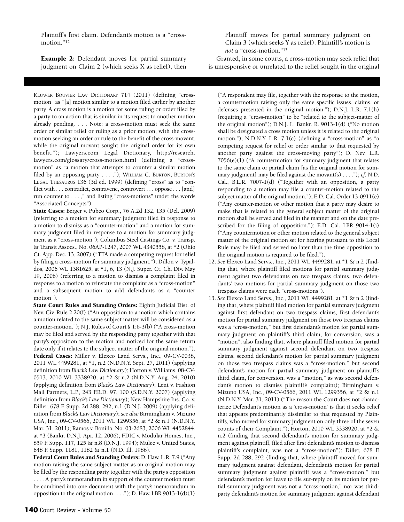Plaintiff's first claim. Defendant's motion is a "crossmotion."12

**Example 2:** Defendant moves for partial summary judgment on Claim 2 (which seeks X as relief), then

KLUWER BOUVIER LAW DICTIONARY 714 (2011) (defining "crossmotion" as "[a] motion similar to a motion filed earlier by another party. A cross motion is a motion for some ruling or order filed by a party to an action that is similar in its request to another motion already pending. . . . Note: a cross-motion must seek the same order or similar relief or ruling as a prior motion, with the crossmotion seeking an order or rule to the benefit of the cross-movant, while the original movant sought the original order for its own benefit."); Lawyers.com Legal Dictionary, [http://research.](http://research.lawyers.com/glossary/cross-motion.html) [lawyers.com/glossary/cross-motion.html](http://research.lawyers.com/glossary/cross-motion.html) (defining a "crossmotion" as "a motion that attempts to counter a similar motion filed by an opposing party . . . ."); WILLIAM C. BURTON, BURTON'S LEGAL THESAURUS 136 (3d ed. 1999) (defining "cross" as to "conflict with . . . contradict, contravene, controvert . . . oppose . . . [and] run counter to . . . ," and listing "cross-motions" under the words "Associated Concepts").

**State Cases:** Berger v. Pubco Corp., 76 A.2d 132, 135 (Del. 2009) (referring to a motion for summary judgment filed in response to a motion to dismiss as a "counter-motion" and a motion for summary judgment filed in response to a motion for summary judgment as a "cross-motion"); Columbus Steel Castings Co. v. Transp. & Transit Assocs., No. 06AP-1247, 2007 WL 4340558, at \*2 (Ohio Ct. App. Dec. 13, 2007) ("TTA made a competing request for relief by filing a cross-motion for summary judgment."); Dillon v. Typaldos, 2006 WL 1381625, at \*1, 6, 13 (N.J. Super. Ct. Ch. Div. May 19, 2006) (referring to a motion to dismiss a complaint filed in response to a motion to reinstate the complaint as a "cross-motion" and a subsequent motion to add defendants as a "counter motion").

**State Court Rules and Standing Orders:** Eighth Judicial Dist. of Nev. Civ. Rule 2.20(f) ("An opposition to a motion which contains a motion related to the same subject matter will be considered as a counter-motion."); N.J. Rules of Court § 1:6-3(b) ("A cross-motion may be filed and served by the responding party together with that party's opposition to the motion and noticed for the same return date only if it relates to the subject matter of the original motion."). **Federal Cases:** Miller v. Elexco Land Servs., Inc., 09-CV-0038, 2011 WL 4499281, at \*1, n.2 (N.D.N.Y. Sept. 27, 2011) (applying definition from *Black's Law Dictionary*); Horton v. Williams, 08-CV-0513, 2010 WL 3338920, at \*2 & n.2 (N.D.N.Y. Aug. 24, 2010) (applying definition from *Black's Law Dictionary*); Lent v. Fashion Mall Partners, L.P., 243 F.R.D. 97, 100 (S.D.N.Y. 2007) (applying definition from *Black's Law Dictionary*); New Hampshire Ins. Co. v. Diller, 678 F. Supp. 2d 288, 292, n.1 (D.N.J. 2009) (applying definition from *Black's Law Dictionary*); *see also* Birmingham v. Mizuno USA, Inc., 09-CV-0566, 2011 WL 1299356, at \*2 & n.1 (N.D.N.Y. Mar. 31, 2011); Ramos v. Bonilla, No. 03-2683, 2006 WL 4452844, at \*3 (Bankr. D.N.J. Apr. 12, 2006); FDIC v. Modular Homes, Inc., 859 F. Supp. 117, 125 & n.8 (D.N.J. 1994); Mulee v. United States, 648 F. Supp. 1181, 1182 & n.1 (N.D. Ill. 1986).

**Federal Court Rules and Standing Orders:** D. Haw. L.R. 7.9 ("Any motion raising the same subject matter as an original motion may be filed by the responding party together with the party's opposition . . . . A party's memorandum in support of the counter motion must be combined into one document with the party's memorandum in opposition to the original motion  $\dots$ ."); D. Haw. LBR 9013-1(d)(1)

Plaintiff moves for partial summary judgment on Claim 3 (which seeks Y as relief). Plaintiff's motion is *not* a "cross-motion."13

Granted, in some courts, a cross-motion may seek relief that is unresponsive or unrelated to the relief sought in the original

("A respondent may file, together with the response to the motion, a countermotion raising only the same specific issues, claims, or defenses presented in the original motion."); D.N.J. L.R. 7.1(h) (requiring a "cross-motion" to be "related to the subject-matter of the original motion"); D.N.J. L. Bankr. R. 9013-1(d) ("No motion shall be designated a cross motion unless it is related to the original motion."); N.D.N.Y. L.R. 7.1(c) (defining a "cross-motion" as "a competing request for relief or order similar to that requested by another party against the cross-moving party"); D. Nev. L.R. 7056(e)(1) ("A countermotion for summary judgment that relates to the same claim or partial claim [as the original motion for summary judgment] may be filed against the movant(s) . . . ."); *cf.* N.D. Cal., B.L.R. 7007-1(d) ("Together with an opposition, a party responding to a motion may file a counter-motion related to the subject matter of the original motion."); E.D. Cal. Order 13-0911(e) ("Any counter-motion or other motion that a party may desire to make that is related to the general subject matter of the original motion shall be served and filed in the manner and on the date prescribed for the filing of opposition."); E.D. Cal. LBR 9014-1(i) ("Any countermotion or other motion related to the general subject matter of the original motion set for hearing pursuant to this Local Rule may be filed and served no later than the time opposition to the original motion is required to be filed.").

- 12. *See* Elexco Land Servs., Inc., 2011 WL 4499281, at \*1 & n.2 (finding that, where plaintiff filed motions for partial summary judgment against two defendants on two trespass claims, two defendants' two motions for partial summary judgment on those two trespass claims were each "cross-motions").
- 13. *See* Elexco Land Servs., Inc., 2011 WL 4499281, at \*1 & n.2 (finding that, where plaintiff filed motion for partial summary judgment against first defendant on two trespass claims, first defendant's motion for partial summary judgment on those two trespass claims was a "cross-motion," but first defendant's motion for partial summary judgment on plaintiff's third claim, for conversion, was a "motion"; also finding that, where plaintiff filed motion for partial summary judgment against second defendant on two trespass claims, second defendant's motion for partial summary judgment on those two trespass claims was a "cross-motion," but second defendant's motion for partial summary judgment on plaintiff's third claim, for conversion, was a "motion," as was second defendant's motion to dismiss plaintiff's complaint); Birmingham v. Mizuno USA, Inc., 09-CV-0566, 2011 WL 1299356, at \*2 & n.1 (N.D.N.Y. Mar. 31, 2011) ("The reason the Court does not characterize Defendant's motion as a 'cross-motion' is that it seeks relief that appears predominantly dissimilar to that requested by Plaintiffs, who moved for summary judgment on only three of the seven counts of their Complaint."); Horton, 2010 WL 3338920, at \*2 & n.2 (finding that second defendant's motion for summary judgment against plaintiff, filed after first defendant's motion to dismiss plaintiff's complaint, was not a "cross-motion"); Diller, 678 F. Supp. 2d 288, 292 (finding that, where plaintiff moved for summary judgment against defendant, defendant's motion for partial summary judgment against plaintiff was a "cross-motion," but defendant's motion for leave to file sur-reply on its motion for partial summary judgment was not a "cross-motion," nor was thirdparty defendant's motion for summary judgment against defendant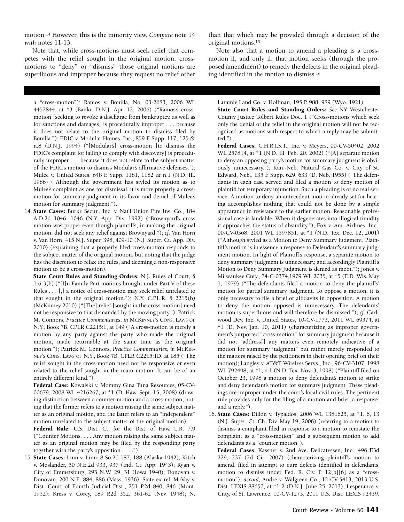motion.14 However, this is the minority view. *Compare* note 14 *with* notes 11-13.

Note that, while cross-motions must seek relief that competes with the relief sought in the original motion, crossmotions to "deny" or "dismiss" those original motions are superfluous and improper because they request no relief other

a "cross-motion"); Ramos v. Bonilla, No. 03-2683, 2006 WL 4452844, at \*3 (Bankr. D.N.J. Apr. 12, 2006) ("Ramos's crossmotion [seeking to revoke a discharge from bankruptcy, as well as for sanctions and damages] is procedurally improper . . . because it does not relate to the original motion to dismiss filed by Bonilla."); FDIC v. Modular Homes, Inc., 859 F. Supp. 117, 125 & n.8 (D.N.J. 1994) ("[Modular's] cross-motion [to dismiss the FDIC's complaint for failing to comply with discovery] is procedurally improper . . . because it does not relate to the subject matter of the FDIC's motion to dismiss Modular's affirmative defenses."); Mulee v. United States, 648 F. Supp. 1181, 1182 & n.1 (N.D. Ill. 1986) ("Although the government has styled its motion as to Mulee's complaint as one for dismissal, it is more properly a crossmotion for summary judgment in its favor and denial of Mulee's motion for summary judgment.").

14. **State Cases:** Burke Secur., Inc. v. Nat'l Union Fire Ins. Co., 184 A.D.2d 1046, 1046 (N.Y. App. Div. 1992) ("Brownyard's cross motion was proper even though plaintiffs, in making the original motion, did not seek any relief against Brownyard."); *cf.* Van Horn v. Van Horn, 415 N.J. Super. 398, 409-10 (N.J. Super. Ct. App. Div. 2010) (explaining that a properly filed cross-motion responds to the subject matter of the original motion, but noting that the judge has the discretion to relax the rules, and deeming a non-responsive motion to be a cross-motion).

**State Court Rules and Standing Orders:** N.J. Rules of Court, § 1:6-3(b) ("[I]n Family Part motions brought under Part V of these Rules . . . [,] a notice of cross-motion may seek relief unrelated to that sought in the original motion."); N.Y. C.P.L.R. § 2215(b) (McKinney 2010) ("[The] relief [sought in the cross-motion] need not be responsive to that demanded by the moving party."); Patrick M. Connors, *Practice Commentaries*, *in* MCKINNEY'S CONS. LAWS OF N.Y., Book 7B, CPLR C2215:1, at 149 ("A cross-motion is merely a motion by any party against the party who made the original motion, made returnable at the same time as the original motion."); Patrick M. Connors, *Practice Commentaries*, *in* MCKIN-NEY'S CONS. LAWS OF N.Y., Book 7B, CPLR C2215:1D, at 185 ("The relief sought in the cross-motion need not be responsive or even related to the relief sought in the main motion. It can be of an entirely different kind.").

**Federal Case:** Kowalski v. Mommy Gina Tuna Resources, 05-CV-00679, 2008 WL 4216267, at \*1 (D. Haw. Sept. 15, 2008) (drawing distinction between a counter-motion and a cross-motion, noting that the former refers to a motion raising the same subject matter as an original motion, and the latter refers to an "independent" motion unrelated to the subject matter of the original motion).

**Federal Rule:** U.S. Dist. Ct. for the Dist. of Haw. L.R. 7.9 ("Counter Motions. . . . Any motion raising the same subject matter as an original motion may be filed by the responding party together with the party's opposition . . . .").

15. **State Cases:** Linn v. Linn, 8 So.2d 187, 188 (Alaska 1942); Kitch v. Moslander, 50 N.E.2d 933, 937 (Ind. Ct. App. 1943); Ryan v. City of Emmetsburg, 293 N.W. 29, 31 (Iowa 1940); Donovan v. Donovan, 200 N.E. 884, 886 (Mass. 1936); State ex rel. McVay v. Dist. Court of Fourth Judicial Dist., 251 P.2d 840, 846 (Mont. 1952); Kress v. Corey, 189 P.2d 352, 361-62 (Nev. 1948); N. than that which may be provided through a decision of the original motions.15

Note also that a motion to amend a pleading is a crossmotion if, and only if, that motion seeks (through the proposed amendment) to remedy the defects in the original pleading identified in the motion to dismiss.16

Laramie Land Co. v. Hoffman, 195 P. 988, 989 (Wyo. 1921).

**State Court Rules and Standing Orders:** *See* NY Westchester County Justice Tolbert Rules Doc. 1 ("Cross-motions which seek only the denial of the relief in the original motion will not be recognized as motions with respect to which a reply may be submitted.").

**Federal Cases:** C.H.R.I.S.T., Inc. v. Meyers, 00-CV-50402, 2002 WL 257814, at \*1 (N.D. Ill. Feb. 20, 2002) ("[A] separate motion to deny an opposing party's motion for summary judgment is obviously unnecessary."); Kan.-Neb. Natural Gas Co. v. City of St. Edward, Neb., 135 F. Supp. 629, 633 (D. Neb. 1955) ("The defendants in each case served and filed a motion to deny motion of plaintiff for temporary injunction. Such a pleading is of no real service. A motion to deny an antecedent motion already set for hearing accomplishes nothing that could not be done by a simple appearance in resistance to the earlier motion. Reasonable professional case is laudable. When it degenerates into illogical timidity it approaches the status of absurdity."); Fox v. Am. Airlines, Inc., 00-CV-0368, 2001 WL 1597851, at \*1 (N.D. Tex. Dec. 12, 2001) ("Although styled as a Motion to Deny Summary Judgment, Plaintiff's motion is in essence a response to Defendant's summary judgment motion. In light of Plaintiff's response, a separate motion to deny summary judgment is unnecessary, and accordingly Plaintiff's Motion to Deny Summary Judgment is denied as moot."); Jones v. Milwaukee Cnty., 74-C-0374,1979 WL 2035, at \*5 (E.D. Wis. May 1, 1979) ("The defendants filed a motion to deny the plaintiffs' motion for partial summary judgment. To oppose a motion, it is only necessary to file a brief or affidavits in opposition. A motion to deny the motion opposed is unnecessary. The defendants' motion is superfluous and will therefore be dismissed."); *cf.* Carlwood Dev. Inc. v. United States, 10-CV-1773, 2011 WL 69374, at \*1 (D. Nev. Jan. 10, 2011) (characterizing as improper government's purported "cross-motion" for summary judgment because it did not "address[] any matters even remotely indicative of a motion for summary judgment" but rather merely responded to the matters raised by the petitioners in their opening brief on their motion); Langley v. AT&T Wireless Servs., Inc., 96-CV-3107, 1998 WL 792498, at \*1, n.1 (N.D. Tex. Nov. 3, 1998) ("Plaintiff filed on October 23, 1998 a motion to deny defendant's motion to strike and deny defendant's motion for summary judgment. These pleadings are improper under the court's local civil rules. The pertinent rule provides only for the filing of a motion and brief, a response, and a reply.").

16. **State Cases:** Dillon v. Typaldos, 2006 WL 1381625, at \*1, 6, 13 (N.J. Super. Ct. Ch. Div. May 19, 2006) (referring to a motion to dismiss a complaint filed in response to a motion to reinstate the complaint as a "cross-motion" and a subsequent motion to add defendants as a "counter motion").

**Federal Cases**: Kassner v. 2nd Ave. Delicatessen, Inc., 496 F.3d 229, 237 (2d Cir. 2007) (characterizing plaintiff's motion to amend, filed in attempt to cure defects identified in defendants' motion to dismiss under Fed. R. Civ. P. 12[b][6] as a "crossmotion"); *accord*, Andre v. Walgreen Co., 12-CV-5413, 2013 U.S. Dist. LEXIS 88657, at \*1-2 (D.N.J. June 25, 2013); Lesperance v. Cnty. of St. Lawrence, 10-CV-1273, 2011 U.S. Dist. LEXIS 92439,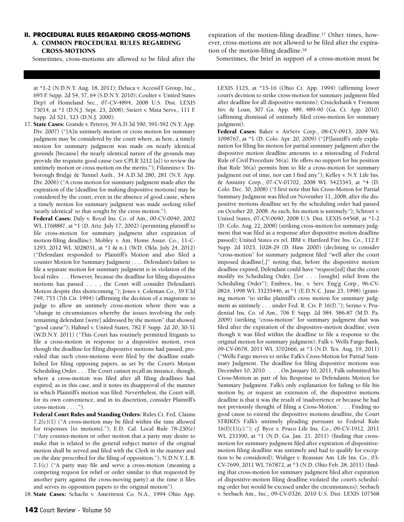#### **II. PROCEDURAL RULES REGARDING CROSS-MOTIONS A. COMMON PROCEDURAL RULES REGARDING CROSS-MOTIONS**

Sometimes, cross-motions are allowed to be filed after the

at \*1-2 (N.D.N.Y. Aug. 18, 2011); Deluca v. AccessIT Group, Inc., 695 F. Supp. 2d 54, 57, 64 (S.D.N.Y. 2010); Coulter v. United States Dep't of Homeland Sec., 07-CV-4894, 2008 U.S. Dist. LEXIS 73014, at \*1 (D.N.J. Sept. 23, 2008); Steiert v. Mata Servs., 111 F. Supp. 2d 521, 523 (D.N.J. 2000).

17. **State Cases:** Grande v. Peteroy, 39 A.D.3d 590, 591-592 (N.Y. App. Div. 2007) ("[A]n untimely motion or cross motion for summary judgment may be considered by the court where, as here, a timely motion for summary judgment was made on nearly identical grounds [because] the nearly identical nature of the grounds may provide the requisite good cause (see CPLR 3212 [a]) to review the untimely motion or cross motion on the merits."); Filannino v. Triborough Bridge & Tunnel Auth., 34 A.D.3d 280, 281 (N.Y. App. Div. 2006) ("A cross motion for summary judgment made after the expiration of the [deadline for making dispositive motions] may be considered by the court, even in the absence of good cause, where a timely motion for summary judgment was made seeking relief 'nearly identical' to that sought by the cross motion.").

**Federal Cases:** Daly v. Royal Ins. Co. of Am., 00-CV-0040, 2002 WL 1768887, at \*1 (D. Ariz. July 17, 2002) (permitting plaintiff to file cross-motion for summary judgment after expiration of motion-filing deadline); Mobley v. Am. Home Assur. Co., 11-C-1293, 2012 WL 3028031, at \*1 & n.1 (W.D. Okla. July 24, 2012) ("Defendant responded to Plaintiff's Motion and also filed a counter Motion for Summary Judgment . . . . Defendant's failure to file a separate motion for summary judgment is in violation of the local rules. . . . However, because the deadline for filing dispositive motions has passed . . . , the Court will consider Defendant's Motion despite this shortcoming."); Jones v. Coleman Co., 39 F.3d 749, 753 (7th Cir. 1994) (affirming the decision of a magistrate to judge to allow an untimely cross-motion where there was a "change in circumstances whereby the issues involving the only remaining defendant [were] addressed by the motion" that showed "good cause"); Hahnel v. United States, 782 F. Supp. 2d 20, 30-31 (W.D.N.Y. 2011) ("This Court has routinely permitted litigants to file a cross-motion in response to a dispositive motion, even though the deadline for filing dispositive motions had passed, provided that such cross-motions were filed by the deadline established for filing opposing papers, as set by the Court's Motion Scheduling Order. . . . The Court cannot recall an instance, though, where a cross-motion was filed after all filing deadlines had expired, as in this case, and it notes its disapproval of the manner in which Plaintiff's motion was filed. Nevertheless, the Court will, for its own convenience, and in its discretion, consider Plaintiff's cross-motion . . . .").

**Federal Court Rules and Standing Orders:** Rules Ct. Fed. Claims  $7.2(c)(1)$  ("A cross-motion may be filed within the time allowed for responses [to motions]."); E.D. Cal. Local Rule 78-230(e) ("Any counter-motion or other motion that a party may desire to make that is related to the general subject matter of the original motion shall be served and filed with the Clerk in the manner and on the date prescribed for the filing of opposition."); N.D.N.Y. L.R. 7.1(c) ("A party may file and serve a cross-motion (meaning a competing request for relief or order similar to that requested by another party against the cross-moving party) at the time it files and serves its opposition papers to the original motion").

18. **State Cases:** Schacht v. Ameritrust Co. N.A., 1994 Ohio App.

expiration of the motion-filing deadline.17 Other times, however, cross-motions are not allowed to be filed after the expiration of the motion-filing deadline.18

Sometimes, the brief in support of a cross-motion must be

LEXIS 1125, at \*15-16 (Ohio Ct. App. 1994) (affirming lower court's decision to strike cross-motion for summary judgment filed after deadline for all dispositive motions); Cruickshank v. Fremont Inv. & Loan, 307 Ga. App. 489, 489-90 (Ga. Ct. App. 2010) (affirming dismissal of untimely filed cross-motion for summary judgment).

**Federal Cases:** Baker v. AirServ Corp., 08-CV-0913, 2009 WL 1098767, at \*1 (D. Colo. Apr. 20, 2009) ("[P]laintiff's only explanation for filing his motion for partial summary judgment after the dispositive motion deadline amounts to a misreading of Federal Rule of Civil Procedure 56(a). He offers no support for his position that Rule 56(a) permits him to file a cross-motion for summary judgment out of time, nor can I find any."); Kelley v. N.Y. Life Ins. & Annuity Corp., 07-CV-01702, 2008 WL 5423343, at \*4 (D. Colo. Dec. 30, 2008) ("I first note that his Cross-Motion for Partial Summary Judgment was filed on November 11, 2008, after the dispositive motions deadline set by the scheduling order had passed on October 20, 2008. As such, his motion is untimely."); Schroer v. United States, 07-CV-0690, 2008 U.S. Dist. LEXIS 64568, at \*1-2 (D. Colo. Aug. 22, 2008) (striking cross-motion for summary judgment that was filed as a response after dispositive motion deadline passed); United States ex rel. IBM v. Hartford Fire Ins. Co., 112 F. Supp. 2d 1023, 1028-29 (D. Haw. 2000) (declining to consider "cross-motion" for summary judgment filed "well after the court imposed deadline[,]" noting that, before the dispositive motion deadline expired, Defendant could have "request[ed] that the court modify its Scheduling Order, []or . . . [sought] relief from the Scheduling Order"); Embrex, Inc. v. Serv. Eng'g Corp., 96-CV-0824, 1998 WL 35235446, at \*1 (E.D.N.C. June 23, 1998) (granting motion "to strike plaintiff's cross motion for summary judgment as untimely . . . under Fed. R. Civ. P. 16(f)."); Serino v. Prudential Ins. Co. of Am., 706 F. Supp. 2d 584, 586-87 (M.D. Pa. 2009) (striking "cross-motion" for summary judgment that was filed after the expiration of the dispositive-motion deadline, even though it was filed within the deadline to file a response to the original motion for summary judgment); Falk v. Wells Fargo Bank, 09-CV-0678, 2011 WL 3702666, at \*3 (N.D. Tex. Aug. 19, 2011) ("Wells Fargo moves to strike Falk's Cross-Motion for Partial Summary Judgment. The deadline for filing dispositive motions was December 10, 2010. . . . On January 10, 2011, Falk submitted his Cross-Motion as part of his Response to Defendants Motion for Summary Judgment. Falk's only explanation for failing to file his motion by, or request an extension of, the dispositive motions deadline is that it was the result of 'inadvertence or because he had not previously thought of filing a Cross-Motion.' . . . Finding no good cause to extend the dispositive motions deadline, the Court STRIKES Falk's untimely pleading pursuant to Federal Rule 16(f)(1)(c)."); *cf.* Byce v. Pruco Life Ins. Co., 09-CV-1912, 2011 WL 233390, at \*1 (N.D. Ga. Jan. 21, 2011) (finding that crossmotion for summary judgment filed after expiration of dispositivemotion filing deadline was untimely and had to qualify for exception to be considered); Wuliger v. Reassure Am. Life Ins. Co., 03- CV-7699, 2011 WL 767872, at \*3 (N.D. Ohio Feb. 28, 2011) (finding that cross-motion for summary judgment filed after expiration of dispositive-motion filing deadline violated the court's scheduling order but would be excused under the circumstances); Seebach v. Seebach Am., Inc., 09-CV-0326, 2010 U.S. Dist. LEXIS 107568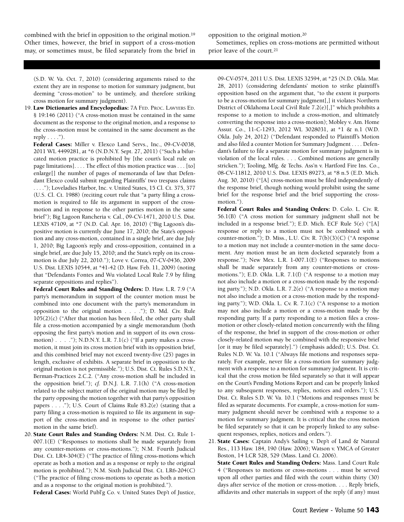combined with the brief in opposition to the original motion.19 Other times, however, the brief in support of a cross-motion may, or sometimes must, be filed separately from the brief in

(S.D. W. Va. Oct. 7, 2010) (considering arguments raised to the extent they are in response to motion for summary judgment, but deeming "cross-motion" to be untimely, and therefore striking cross motion for summary judgment).

- 19. **Law Dictionaries and Encyclopedias:** 7A FED. PROC. LAWYERS ED. § 19:146 (2011) ("A cross-motion must be contained in the same document as the response to the original motion, and a response to the cross-motion must be contained in the same document as the reply  $\dots$ .").
	- **Federal Cases:** Miller v. Elexco Land Servs., Inc., 09-CV-0038, 2011 WL 4499281, at \*6 (N.D.N.Y. Sept. 27, 2011) ("Such a bifurcated motion practice is prohibited by [the court's local rule on page limitations]. . . . The effect of this motion practice was . . . [to] enlarge[] the number of pages of memoranda of law that Defendant Elexco could submit regarding Plaintiffs' two trespass claims . . . ."); Loveladies Harbor, Inc. v. United States, 15 Cl. Ct. 375, 377 (U.S. Cl. Ct. 1988) (reciting court rule that "a party filing a crossmotion is required to file its argument in support of the crossmotion and in response to the other parties motion in the same brief"); Big Lagoon Rancheria v. Cal., 09-CV-1471, 2010 U.S. Dist. LEXIS 47109, at \*7 (N.D. Cal. Apr. 16, 2010) ("Big Lagoon's dispositive motion is currently due June 17, 2010; the State's opposition and any cross-motion, contained in a single brief, are due July 1, 2010; Big Lagoon's reply and cross-opposition, contained in a single brief, are due July 15, 2010; and the State's reply on its crossmotion is due July 22, 2010."); Love v. Correa, 07-CV-0436, 2009 U.S. Dist. LEXIS 10544, at \*41-42 (D. Haw. Feb. 11, 2009) (noting that "Defendants Fontes and Wu violated Local Rule 7.9 by filing separate oppositions and replies").

**Federal Court Rules and Standing Orders:** D. Haw. L.R. 7.9 ("A party's memorandum in support of the counter motion must be combined into one document with the party's memorandum in opposition to the original motion . . . ."); D. Md. Civ. Rule 105(2)(c) ("After that motion has been filed, the other party shall file a cross-motion accompanied by a single memorandum (both opposing the first party's motion and in support of its own crossmotion) . . . ."); N.D.N.Y. L.R. 7.1(c) ("If a party makes a crossmotion, it must join its cross motion brief with its opposition brief, and this combined brief may not exceed twenty-five (25) pages in length, exclusive of exhibits. A separate brief in opposition to the original motion is not permissible."); U.S. Dist. Ct. Rules S.D.N.Y., Berman-Practices 2.C.2. ("Any cross-motion shall be included in the opposition brief."); *cf.* D.N.J. L.R. 7.1(h) ("A cross-motion related to the subject matter of the original motion may be filed by the party opposing the motion together with that party's opposition papers . . . ."); U.S. Court of Claims Rule 83.2(e) (stating that a party filing a cross-motion is required to file its argument in support of the cross-motion and in response to the other parties' motion in the same brief).

20. **State Court Rules and Standing Orders:** N.M. Dist. Ct. Rule 1- 007.1(E) ("Responses to motions shall be made separately from any counter-motions or cross-motions."); N.M. Fourth Judicial Dist. Ct. LR4-304(E) ("The practice of filing cross-motions which operate as both a motion and as a response or reply to the original motion is prohibited."); N.M. Sixth Judicial Dist. Ct. LR6-204(C) ("The practice of filing cross-motions to operate as both a motion and as a response to the original motion is prohibited.").

**Federal Cases:** World Publ'g Co. v. United States Dep't of Justice,

opposition to the original motion.20

Sometimes, replies on cross-motions are permitted without prior leave of the court.21

09-CV-0574, 2011 U.S. Dist. LEXIS 32594, at \*25 (N.D. Okla. Mar. 28, 2011) (considering defendants' motion to strike plaintiff's opposition based on the argument that, "to the extent it purports to be a cross-motion for summary judgment[,] it violates Northern District of Oklahoma Local Civil Rule 7.2(e)[,]" which prohibits a response to a motion to include a cross-motion, and ultimately converting the response into a cross-motion); Mobley v. Am. Home Assur. Co., 11-C-1293, 2012 WL 3028031, at \*1 & n.1 (W.D. Okla. July 24, 2012) ("Defendant responded to Plaintiff's Motion and also filed a counter Motion for Summary Judgment . . . . Defendant's failure to file a separate motion for summary judgment is in violation of the local rules. . . . Combined motions are generally stricken."); Tooling, Mfg. & Techs. Ass'n v. Hartford Fire Ins. Co., 08-CV-11812, 2010 U.S. Dist. LEXIS 89273, at \*8 n.5 (E.D. Mich. Aug. 30, 2010) ("[A] cross-motion must be filed independently of the response brief, though nothing would prohibit using the same brief for the response brief and the brief supporting the crossmotion.").

**Federal Court Rules and Standing Orders:** D. Colo. L. Civ. R. 56.1(B) ("A cross motion for summary judgment shall not be included in a response brief."); E.D. Mich. ECF Rule 5(e) ("[A] response or reply to a motion must not be combined with a counter-motion."); D. Miss., L.U. Civ. R. 7(b)(3)(C) ("A response to a motion may not include a counter-motion in the same document. Any motion must be an item docketed separately from a response."); New Mex. L.R. 1-007.1(E) ("Responses to motions shall be made separately from any counter-motions or crossmotions."); E.D. Okla. L.R. 7.1(f) ("A response to a motion may not also include a motion or a cross-motion made by the responding party."); N.D. Okla. L.R. 7.2(e) ("A response to a motion may not also include a motion or a cross-motion made by the responding party."); W.D. Okla. L. Cv. R. 7.1(c) ("A response to a motion may not also include a motion or a cross-motion made by the responding party. If a party responding to a motion files a crossmotion or other closely-related motion concurrently with the filing of the response, the brief in support of the cross-motion or other closely-related motion *may* be combined with the responsive brief [or it may be filed separately].") (emphasis added); U.S. Dist. Ct. Rules N.D. W. Va. 10.1 ("Always file motions and responses separately. For example, never file a cross-motion for summary judgment with a response to a motion for summary judgment. It is critical that the cross motion be filed separately so that it will appear on the Court's Pending Motions Report and can be properly linked to any subsequent responses, replies, notices and orders."); U.S. Dist. Ct. Rules S.D. W. Va. 10.1 ("Motions and responses must be filed as separate documents. For example, a cross-motion for summary judgment should never be combined with a response to a motion for summary judgment. It is critical that the cross motion be filed separately so that it can be properly linked to any subsequent responses, replies, notices and orders.").

21. **State Cases:** Captain Andy's Sailing v. Dep't of Land & Natural Res*.*, 113 Haw. 184, 190 (Haw. 2006); Watson v. YMCA of Greater Boston, 14 LCR 528, 529 (Mass. Land Ct. 2006). **State Court Rules and Standing Orders:** Mass. Land Court Rule 4 ("Responses to motions or cross-motions . . . must be served upon all other parties and filed with the court within thirty (30) days after service of the motion or cross-motion. . . . Reply briefs,

affidavits and other materials in support of the reply (if any) must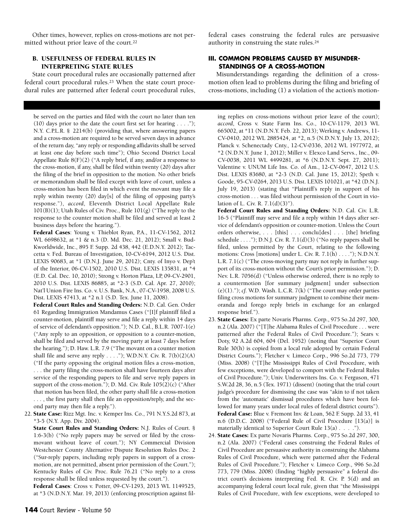Other times, however, replies on cross-motions are not permitted without prior leave of the court.22

#### **B. USEFULNESS OF FEDERAL RULES IN INTERPRETING STATE RULES**

State court procedural rules are occasionally patterned after federal court procedural rules.23 When the state court procedural rules are patterned after federal court procedural rules,

be served on the parties and filed with the court no later than ten (10) days prior to the date the court first set for hearing  $\dots$  ."); N.Y. C.P.L.R. § 2214(b) (providing that, where answering papers and a cross-motion are required to be served seven days in advance of the return day, "any reply or responding affidavits shall be served at least one day before such time"); Ohio Second District Local Appellate Rule 8(F)(2) ("A reply brief, if any, and/or a response to the cross-motion, if any, shall be filed within twenty (20) days after the filing of the brief in opposition to the motion. No other briefs or memorandum shall be filed except with leave of court, unless a cross-motion has been filed in which event the movant may file a reply within twenty (20) day[s] of the filing of opposing party's response."), *accord*, Eleventh District Local Appellate Rule 101(B)(1); Utah Rules of Civ. Proc., Rule 101(g) ("The reply to the response to the counter motion shall be filed and served at least 2 business days before the hearing.").

**Federal Cases**: Young v. Thieblot Ryan, P.A., 11-CV-1562, 2012 WL 6698632, at \*1 & n.3 (D. Md. Dec. 21, 2012); Small v. Bud-Kworldwide, Inc., 895 F. Supp. 2d 438, 442 (E.D.N.Y. 2012); Taccetta v. Fed. Bureau of Investigation, 10-CV-6194, 2012 U.S. Dist. LEXIS 90683, at \*1 (D.N.J. June 29, 2012); Cnty. of Inyo v. Dep't of the Interior, 06-CV-1502, 2010 U.S. Dist. LEXIS 135831, at \*4 (E.D. Cal. Dec. 10, 2010); Strong v. Horton Plaza, LP, 09-CV-2901, 2010 U.S. Dist. LEXIS 86885, at \*2-3 (S.D. Cal. Apr. 27, 2010); Nat'l Union Fire Ins. Co. v. U.S. Bank, N.A., 07-CV-1958, 2008 U.S. Dist. LEXIS 47413, at \*2 n.1 (S.D. Tex. June 11, 2008).

**Federal Court Rules and Standing Orders:** N.D. Cal. Gen. Order 61 Regarding Immigration Mandamus Cases ("[I]f plaintiff filed a counter-motion, plaintiff may serve and file a reply within 14 days of service of defendant's opposition."); N.D. Cal., B.L.R. 7007-1(e) ("Any reply to an opposition, or opposition to a counter-motion, shall be filed and served by the moving party at least 7 days before the hearing."); D. Haw. L.R. 7.9 ("The movant on a counter motion shall file and serve any reply  $\dots$ ."); W.D.N.Y. Civ. R. 7(b)(2)(A) ("If the party opposing the original motion files a cross-motion, . . . the party filing the cross-motion shall have fourteen days after service of the responding papers to file and serve reply papers in support of the cross-motion."); D. Md. Civ. Rule 105(2)(c) ("After that motion has been filed, the other party shall file a cross-motion . . . , the first party shall then file an opposition/reply, and the second party may then file a reply.").

22. **State Case:** Rizz Mgt. Inc. v. Kemper Ins. Co., 791 N.Y.S.2d 873, at \*3-5 (N.Y. App. Div. 2004).

**State Court Rules and Standing Orders:** N.J. Rules of Court. § 1:6-3(b) ("No reply papers may be served or filed by the crossmovant without leave of court."); NY Commercial Division Westchester County Alternative Dispute Resolution Rules Doc. 2 ("Sur-reply papers, including reply papers in support of a crossmotion, are not permitted, absent prior permission of the Court."); Kentucky Rules of Civ. Proc. Rule 76.21 ("No reply to a cross response shall be filed unless requested by the court.").

**Federal Cases**: Cross v. Potter, 09-CV-1293, 2013 WL 1149525, at \*3 (N.D.N.Y. Mar. 19, 2013) (enforcing proscription against filfederal cases construing the federal rules are persuasive authority in construing the state rules.24

#### **III. COMMON PROBLEMS CAUSED BY MISUNDER-STANDINGS OF A CROSS-MOTION**

Misunderstandings regarding the definition of a crossmotion often lead to problems during the filing and briefing of cross-motions, including (1) a violation of the action's motion-

ing replies on cross-motions without prior leave of the court); *accord*, Cross v. State Farm Ins. Co., 10-CV-1179, 2013 WL 665002, at \*11 (N.D.N.Y. Feb. 22, 2013); Werking v. Andrews, 11- CV-0410, 2012 WL 2885424, at \*2, n.5 (N.D.N.Y. July 13, 2012); Planck v. Schenectady Cnty., 12-CV-0336, 2012 WL 1977972, at \*2 (N.D.N.Y. June 1, 2012); Miller v. Elexco Land Servs., Inc., 09- CV-0038, 2011 WL 4499281, at \*6 (N.D.N.Y. Sept. 27, 2011); Valentine v. UNUM Life Ins. Co. of Am., 12-CV-0647, 2012 U.S. Dist. LEXIS 83680, at \*2-3 (N.D. Cal. June 15, 2012); Speth v. Goode, 95-CV-0264, 2013 U.S. Dist. LEXIS 101021, at \*42 (D.N.J. July 19, 2013) (stating that "Plaintiff's reply in support of his cross-motion . . . was filed without permission of the Court in violation of L. Civ. R. 7.1(d)(3)").

**Federal Court Rules and Standing Orders:** N.D. Cal. Civ. L.R. 16-5 ("Plaintiff may serve and file a reply within 14 days after service of defendant's opposition or counter-motion. Unless the Court orders otherwise, . . . [this] . . . conclu[des] . . . [the] briefing schedule . . . ."); D.N.J. Civ. R. 7.1(d)(3) ("No reply papers shall be filed, unless permitted by the Court, relating to the following motions: Cross [motions] under L. Civ. R. 7.1(h) . . . ."); N.D.N.Y. L.R. 7.1(c) ("The cross-moving party may not reply in further support of its cross-motion without the Court's prior permission."); D. Nev. L.R. 7056(d) ("Unless otherwise ordered, there is no reply to a countermotion [for summary judgment] under subsection (e)(1)."); *cf.* W.D. Wash. L.C.R. 7(k) ("The court may order parties filing cross motions for summary judgment to combine their memoranda and forego reply briefs in exchange for an enlarged response brief.").

- 23. **State Cases:** Ex parte Novaris Pharms. Corp., 975 So.2d 297, 300, n.2 (Ala. 2007) ("[T]he Alabama Rules of Civil Procedure . . . were patterned after the Federal Rules of Civil Procedure."); Sears v. Doty, 92 A.2d 604, 604 (Del. 1952) (noting that "Superior Court Rule 30(h) is copied from a local rule adopted by certain Federal District Courts."); Fletcher v. Limeco Corp., 996 So.2d 773, 779 (Miss. 2008) ("[T]he Mississippi Rules of Civil Procedure, with few exceptions, were developed to comport with the Federal Rules of Civil Procedure."); Univ. Underwriters Ins. Co. v. Ferguson, 471 S.W.2d 28, 36, n.5 (Tex. 1971) (dissent) (noting that the trial court judge's procedure for dismissing the case was "akin to if not taken from the 'automatic' dismissal procedures which have been followed for many years under local rules of federal district courts"). **Federal Case:** Blue v. Fremont Inv. & Loan, 562 F. Supp. 2d 33, 41 n.6 (D.D.C. 2008) ("Federal Rule of Civil Procedure [13(a)] is materially identical to Superior Court Rule 13(a) . . . .").
- 24. **State Cases:** Ex parte Novaris Pharms. Corp., 975 So.2d 297, 300, n.2 (Ala. 2007) ("Federal cases construing the Federal Rules of Civil Procedure are persuasive authority in construing the Alabama Rules of Civil Procedure, which were patterned after the Federal Rules of Civil Procedure."); Fletcher v. Limeco Corp., 996 So.2d 773, 779 (Miss. 2008) (finding "highly persuasive" a federal district court's decisions interpreting Fed. R. Civ. P. 5(d) and an accompanying federal court local rule, given that "the Mississippi Rules of Civil Procedure, with few exceptions, were developed to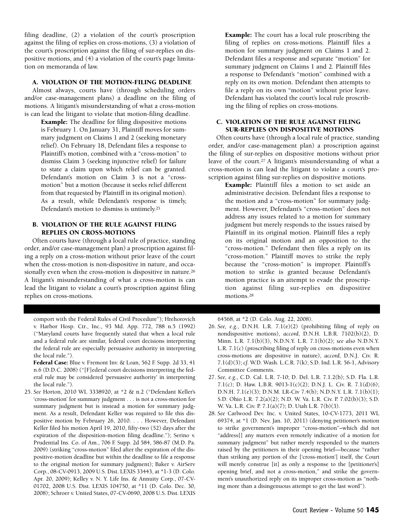filing deadline, (2) a violation of the court's proscription against the filing of replies on cross-motions, (3) a violation of the court's proscription against the filing of sur-replies on dispositive motions, and (4) a violation of the court's page limitation on memoranda of law.

#### **A. VIOLATION OF THE MOTION-FILING DEADLINE**

Almost always, courts have (through scheduling orders and/or case-management plans) a deadline on the filing of motions. A litigant's misunderstanding of what a cross-motion is can lead the litigant to violate that motion-filing deadline.

**Example:** The deadline for filing dispositive motions is February 1. On January 31, Plaintiff moves for summary judgment on Claims 1 and 2 (seeking monetary relief). On February 18, Defendant files a response to Plaintiff's motion, combined with a "cross-motion" to dismiss Claim 3 (seeking injunctive relief) for failure to state a claim upon which relief can be granted. Defendant's motion on Claim 3 is not a "crossmotion" but a motion (because it seeks relief different from that requested by Plaintiff in its original motion). As a result, while Defendant's response is timely, Defendant's motion to dismiss is untimely.25

#### **B. VIOLATION OF THE RULE AGAINST FILING REPLIES ON CROSS-MOTIONS**

Often courts have (through a local rule of practice, standing order, and/or case-management plan) a proscription against filing a reply on a cross-motion without prior leave of the court when the cross-motion is non-dispositive in nature, and occasionally even when the cross-motion is dispositive in nature.26 A litigant's misunderstanding of what a cross-motion is can lead the litigant to violate a court's proscription against filing replies on cross-motions.

comport with the Federal Rules of Civil Procedure"); Hrehorovich v. Harbor Hosp. Ctr., Inc., 93 Md. App. 772, 788 n.5 (1992) ("Maryland courts have frequently stated that when a local rule and a federal rule are similar, federal court decisions interpreting the federal rule are especially persuasive authority in interpreting the local rule.").

**Federal Case:** Blue v. Fremont Inv. & Loan, 562 F. Supp. 2d 33, 41 n.6 (D.D.C. 2008) ("[F]ederal court decisions interpreting the federal rule may be considered 'persuasive authority' in interpreting the local rule.").

25. *See* Horton, 2010 WL 3338920, at \*2 & n.2 ("Defendant Keller's 'cross-motion' for summary judgment . . . is not a cross-motion for summary judgment but is instead a motion for summary judgment. As a result, Defendant Keller was required to file this dispositive motion by February 26, 2010. . . . However, Defendant Keller filed his motion April 19, 2010, fifty-two (52) days after the expiration of the disposition-motion filing deadline."); Serino v. Prudential Ins. Co. of Am., 706 F. Supp. 2d 584, 586-87 (M.D. Pa. 2009) (striking "cross-motion" filed after the expiration of the dispositive-motion deadline but within the deadline to file a response to the original motion for summary judgment); Baker v. AirServ Corp., 08-CV-0913, 2009 U.S. Dist. LEXIS 33443, at \*1-3 (D. Colo. Apr. 20, 2009); Kelley v. N. Y. Life Ins. & Annuity Corp., 07-CV-01702, 2008 U.S. Dist. LEXIS 104750, at \*11 (D. Colo. Dec. 30, 2008); Schroer v. United States, 07-CV-0690, 2008 U.S. Dist. LEXIS **Example:** The court has a local rule proscribing the filing of replies on cross-motions. Plaintiff files a motion for summary judgment on Claims 1 and 2. Defendant files a response and separate "motion" for summary judgment on Claims 1 and 2. Plaintiff files a response to Defendant's "motion" combined with a reply on its own motion. Defendant then attempts to file a reply on its own "motion" without prior leave. Defendant has violated the court's local rule proscribing the filing of replies on cross-motions.

#### **C. VIOLATION OF THE RULE AGAINST FILING SUR-REPLIES ON DISPOSITIVE MOTIONS**

Often courts have (through a local rule of practice, standing order, and/or case-management plan) a proscription against the filing of sur-replies on dispositive motions without prior leave of the court.27 A litigant's misunderstanding of what a cross-motion is can lead the litigant to violate a court's proscription against filing sur-replies on dispositive motions.

**Example:** Plaintiff files a motion to set aside an administrative decision. Defendant files a response to the motion and a "cross-motion" for summary judgment. However, Defendant's "cross-motion" does not address any issues related to a motion for summary judgment but merely responds to the issues raised by Plaintiff in its original motion. Plaintiff files a reply on its original motion and an opposition to the "cross-motion." Defendant then files a reply on its "cross-motion." Plaintiff moves to strike the reply because the "cross-motion" is improper. Plaintiff's motion to strike is granted because Defendant's motion practice is an attempt to evade the proscription against filing sur-replies on dispositive motions.28

64568, at \*2 (D. Colo. Aug. 22, 2008).

- 26. *See, e.g.*, D.N.H. L.R. 7.1(e)(2) (prohibiting filing of reply on nondispositive motions), *accord*, D.N.H. L.B.R. 7102(b)(2), D. Minn. L.R. 7.1(b)(3), N.D.N.Y. L.R. 7.1(b)(2); *see also* N.D.N.Y. L.R. 7.1(c) (proscribing filing of reply on cross-motions even when cross-motions are dispositive in nature), *accord*, D.N.J. Civ. R. 7.1(d)(3); *cf.* W.D. Wash. L.C.R. 7(k); S.D. Ind. L.R. 56-1, Advisory Committee Comments.
- 27. *See, e.g.*, C.D. Cal. L.R. 7-10; D. Del. L.R. 7.1.2(b); S.D. Fla. L.R. 7.1(c); D. Haw. L.B.R. 9013-1(c)(2); D.N.J. L. Civ. R. 7.1(d)(6); D.N.H. 7.1(e)(3); D.N.M. LR-Civ 7.4(b); N.D.N.Y. L.R. 7.1(b)(1); S.D. Ohio L.R. 7.2(a)(2); N.D. W. Va. L.R. Civ. P. 7.02(b)(3); S.D. W. Va. L.R. Civ. P. 7.1(a)(7); D. Utah L.R. 7(b)(3).
- 28. *See* Carlwood Dev. Inc. v. United States, 10-CV-1773, 2011 WL 69374, at \*1 (D. Nev. Jan. 10, 2011) (denying petitioner's motion to strike government's improper "cross-motion"–which did not "address[] any matters even remotely indicative of a motion for summary judgment" but rather merely responded to the matters raised by the petitioners in their opening brief—because "rather than striking any portion of the ['cross-motion'] itself, the Court will merely construe [it] as only a response to the [petitioner's] opening brief, and not a cross-motion," and strike the government's unauthorized reply on its improper cross-motion as "nothing more than a disingenuous attempt to get the last word").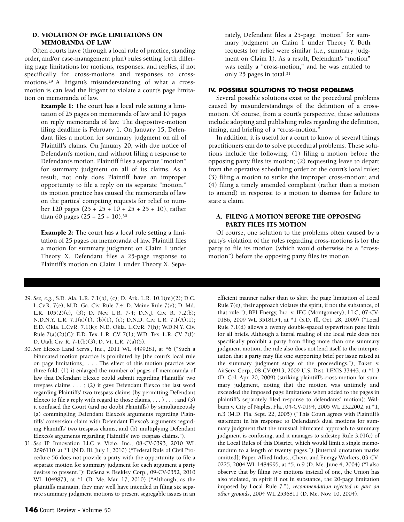#### **D. VIOLATION OF PAGE LIMITATIONS ON MEMORANDA OF LAW**

Often courts have (through a local rule of practice, standing order, and/or case-management plan) rules setting forth differing page limitations for motions, responses, and replies, if not specifically for cross-motions and responses to crossmotions.29 A litigant's misunderstanding of what a crossmotion is can lead the litigant to violate a court's page limitation on memoranda of law.

**Example 1:** The court has a local rule setting a limitation of 25 pages on memoranda of law and 10 pages on reply memoranda of law. The dispositive-motion filing deadline is February 1. On January 15, Defendant files a motion for summary judgment on all of Plaintiff's claims. On January 20, with due notice of Defendant's motion, and without filing a response to Defendant's motion, Plaintiff files a separate "motion" for summary judgment on all of its claims. As a result, not only does Plaintiff have an improper opportunity to file a reply on its separate "motion," its motion practice has caused the memoranda of law on the parties' competing requests for relief to number 120 pages (25 + 25 + 10 + 25 + 25 + 10), rather than 60 pages  $(25 + 25 + 10).^{30}$ 

**Example 2:** The court has a local rule setting a limitation of 25 pages on memoranda of law. Plaintiff files a motion for summary judgment on Claim 1 under Theory X. Defendant files a 25-page response to Plaintiff's motion on Claim 1 under Theory X. Sepa-

- 29. *See, e.g.*, S.D. Ala. L.R. 7.1(b), (c); D. Ark. L.R. 10.1(m)(2); D.C. L.Cv.R. 7(e); M.D. Ga. Civ. Rule 7.4; D. Maine Rule 7(e); D. Md. L.R. 105(2)(c), (3); D. Nev. L.R. 7-4; D.N.J. Civ. R. 7.2(b); N.D.N.Y. L.R. 7.1(a)(1), (b)(1), (c); D.N.D. Civ. L.R. 7.1(A)(1); E.D. Okla. L.Cv.R. 7.1(k); N.D. Okla. L.Cv.R. 7(h); W.D.N.Y. Civ. Rule 7(a)(2)(C); E.D. Tex. L.R. CV. 7(1); W.D. Tex. L.R. CV. 7(f); D. Utah Civ. R. 7-1(b)(3); D. Vt. L.R. 7(a)(5).
- 30. *See* Elexco Land Servs., Inc., 2011 WL 4499281, at \*6 ("Such a bifurcated motion practice is prohibited by [the court's local rule on page limitations]. . . . The effect of this motion practice was three-fold: (1) it enlarged the number of pages of memoranda of law that Defendant Elexco could submit regarding Plaintiffs' two trespass claims . . . ; (2) it gave Defendant Elexco the last word regarding Plaintiffs' two trespass claims (by permitting Defendant Elexco to file a reply with regard to those claims,  $\dots$  )  $\dots$ ; and (3) it confused the Court (and no doubt Plaintiffs) by simultaneously (a) commingling Defendant Elexco's arguments regarding Plaintiffs' conversion claim with Defendant Elexco's arguments regarding Plaintiffs' two trespass claims, and (b) multiplying Defendant Elexco's arguments regarding Plaintiffs' two trespass claims.").
- 31. *See* IP Innovation LLC v. Vizio, Inc., 08-CV-0393, 2010 WL 2696110, at \*1 (N.D. Ill. July 1, 2010) ("Federal Rule of Civil Procedure 56 does not provide a party with the opportunity to file a separate motion for summary judgment for each argument a party desires to present."); DeSena v. Beekley Corp., 09-CV-0352, 2010 WL 1049873, at \*1 (D. Me. Mar. 17, 2010) ("Although, as the plaintiffs maintain, they may well have intended in filing six separate summary judgment motions to present segregable issues in an

#### **IV. POSSIBLE SOLUTIONS TO THOSE PROBLEMS**

Several possible solutions exist to the procedural problems caused by misunderstandings of the definition of a crossmotion. Of course, from a court's perspective, these solutions include adopting and publishing rules regarding the definition, timing, and briefing of a "cross-motion."

In addition, it is useful for a court to know of several things practitioners can do to solve procedural problems. These solutions include the following: (1) filing a motion before the opposing party files its motion; (2) requesting leave to depart from the operative scheduling order or the court's local rules; (3) filing a motion to strike the improper cross-motion; and (4) filing a timely amended complaint (rather than a motion to amend) in response to a motion to dismiss for failure to state a claim.

#### **A. FILING A MOTION BEFORE THE OPPOSING PARTY FILES ITS MOTION**

Of course, one solution to the problems often caused by a party's violation of the rules regarding cross-motions is for the party to file its motion (which would otherwise be a "crossmotion") before the opposing party files its motion.

efficient manner rather than to skirt the page limitation of Local Rule 7(e), their approach violates the spirit, if not the substance, of that rule."); BPI Energy, Inc. v. IEC (Montgomery), LLC, 07-CV-0186, 2009 WL 3518154, at \*1 (S.D. Ill. Oct. 28, 2009) ("Local Rule 7.1(d) allows a twenty double-spaced typewritten page limit for all briefs. Although a literal reading of the local rule does not specifically prohibit a party from filing more than one summary judgment motion, the rule also does not lend itself to the interpretation that a party may file one supporting brief per issue raised at the summary judgment stage of the proceedings."); Baker v. AirServ Corp., 08-CV-0913, 2009 U.S. Dist. LEXIS 33443, at \*1-3 (D. Col. Apr. 20, 2009) (striking plaintiff's cross-motion for summary judgment, noting that the motion was untimely and exceeded the imposed page limitations when added to the pages in plaintiff's separately filed response to defendants' motion); Walburn v. City of Naples, Fla., 04-CV-0194, 2005 WL 2322002, at \*1, n.3 (M.D. Fla. Sept. 22, 2005) ("This Court agrees with Plaintiff's statement in his response to Defendant's dual motions for summary judgment that the unusual bifurcated approach to summary judgment is confusing, and it manages to sidestep Rule 3.01(c) of the Local Rules of this District, which would limit a single memorandum to a length of twenty pages.") [internal quotation marks omitted]; Paper, Allied Indus., Chem. and Energy Workers, 03-CV-0225, 2004 WL 1484995, at \*5, n.9 (D. Me. June 4, 2004) ("I also observe that by filing two motions instead of one, the Union has also violated, in spirit if not in substance, the 20-page limitation imposed by Local Rule 7."), *recommendation rejected in part on other grounds*, 2004 WL 2536811 (D. Me. Nov. 10, 2004).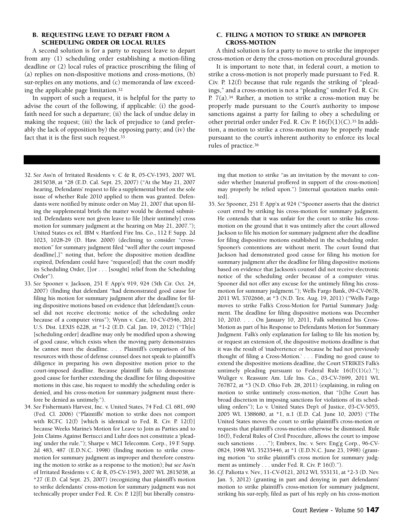#### **B. REQUESTING LEAVE TO DEPART FROM A SCHEDULING ORDER OR LOCAL RULES**

A second solution is for a party to request leave to depart from any (1) scheduling order establishing a motion-filing deadline or (2) local rules of practice proscribing the filing of (a) replies on non-dispositive motions and cross-motions, (b) sur-replies on any motions, and (c) memoranda of law exceeding the applicable page limitation.32

In support of such a request, it is helpful for the party to advise the court of the following, if applicable: (i) the goodfaith need for such a departure; (ii) the lack of undue delay in making the request; (iii) the lack of prejudice to (and preferably the lack of opposition by) the opposing party; and (iv) the fact that it is the first such request.33

- 32. *See* Ass'n of Irritated Residents v. C & R, 05-CV-1593, 2007 WL 2815038, at \*28 (E.D. Cal. Sept. 25, 2007) ("At the May 21, 2007 hearing, Defendants' request to file a supplemental brief on the sole issue of whether Rule 2010 applied to them was granted. Defendants were notified by minute order on May 21, 2007 that upon filing the supplemental briefs the matter would be deemed submitted. Defendants were not given leave to file [their untimely] cross motion for summary judgment at the hearing on May 21, 2007."); United States ex rel. IBM v. Hartford Fire Ins. Co., 112 F. Supp. 2d 1023, 1028-29 (D. Haw. 2000) (declining to consider "crossmotion" for summary judgment filed "well after the court imposed deadline[,]" noting that, before the dispositive motion deadline expired, Defendant could have "request[ed] that the court modify its Scheduling Order, []or . . . [sought] relief from the Scheduling Order").
- 33. *See* Spooner v. Jackson, 251 F. App'x 919, 924 (5th Cir. Oct. 24, 2007) (finding that defendant "had demonstrated good cause for filing his motion for summary judgment after the deadline for filing dispositive motions based on evidence that [defendant]'s counsel did not receive electronic notice of the scheduling order because of a computer virus"); Wynn v. Cate, 10-CV-0546, 2012 U.S. Dist. LEXIS 6228, at \*1-2 (E.D. Cal. Jan. 19, 2012) ("Th[e] [scheduling order] deadline may only be modified upon a showing of good cause, which exists when the moving party demonstrates he cannot meet the deadline. . . . Plaintiff's comparison of his resources with those of defense counsel does not speak to plaintiff's diligence in preparing his own dispositive motion prior to the court-imposed deadline. Because plaintiff fails to demonstrate good cause for further extending the deadline for filing dispositive motions in this case, his request to modify the scheduling order is denied, and his cross-motion for summary judgment must therefore be denied as untimely.").
- 34. *See* Fisherman's Harvest, Inc. v. United States, 74 Fed. Cl. 681, 690 (Fed. Cl. 2006) ("Plaintiffs' motion to strike does not comport with RCFC 12(f) [which is identical to Fed. R. Civ. P. 12(f)] because Weeks Marine's Motion for Leave to Join as Parties and to Join Claims Against Bertucci and Luhr does not constitute a 'pleading' under the rule."); Sharpe v. MCI Telecomm. Corp., 19 F. Supp. 2d 483, 487 (E.D.N.C. 1998) (finding motion to strike crossmotion for summary judgment as improper and therefore construing the motion to strike as a response to the motion); *but see* Ass'n of Irritated Residents v. C & R, 05-CV-1593, 2007 WL 2815038, at \*27 (E.D. Cal Sept. 25, 2007) (recognizing that plaintiff's motion to strike defendants' cross-motion for summary judgment was not technically proper under Fed. R. Civ. P. 12[f] but liberally constru-

#### **C. FILING A MOTION TO STRIKE AN IMPROPER CROSS-MOTION**

A third solution is for a party to move to strike the improper cross-motion or deny the cross-motion on procedural grounds.

It is important to note that, in federal court, a motion to strike a cross-motion is not properly made pursuant to Fed. R. Civ. P. 12(f) because that rule regards the striking of "pleadings," and a cross-motion is not a "pleading" under Fed. R. Civ. P. 7(a).34 Rather, a motion to strike a cross-motion may be properly made pursuant to the Court's authority to impose sanctions against a party for failing to obey a scheduling or other pretrial order under Fed. R. Civ. P. 16(f)(1)(C).35 In addition, a motion to strike a cross-motion may be properly made pursuant to the court's inherent authority to enforce its local rules of practice.36

ing that motion to strike "as an invitation by the movant to consider whether [material proffered in support of the cross-motion] may properly be relied upon.") [internal quotation marks omitted].

- 35. *See* Spooner, 251 F. App'x at 924 ("Spooner asserts that the district court erred by striking his cross-motion for summary judgment. He contends that it was unfair for the court to strike his crossmotion on the ground that it was untimely after the court allowed Jackson to file his motion for summary judgment after the deadline for filing dispositive motions established in the scheduling order. Spooner's contentions are without merit. The court found that Jackson had demonstrated good cause for filing his motion for summary judgment after the deadline for filing dispositive motions based on evidence that Jackson's counsel did not receive electronic notice of the scheduling order because of a computer virus. Spooner did not offer any excuse for the untimely filing his crossmotion for summary judgment."); Wells Fargo Bank, 09-CV-0678, 2011 WL 3702666, at \*3 (N.D. Tex. Aug. 19, 2011) ("Wells Fargo moves to strike Falk's Cross-Motion for Partial Summary Judgment. The deadline for filing dispositive motions was December 10, 2010. . . . On January 10, 2011, Falk submitted his Cross-Motion as part of his Response to Defendants Motion for Summary Judgment. Falk's only explanation for failing to file his motion by, or request an extension of, the dispositive motions deadline is that it was the result of 'inadvertence or because he had not previously thought of filing a Cross-Motion.' . . . Finding no good cause to extend the dispositive motions deadline, the Court STRIKES Falk's untimely pleading pursuant to Federal Rule  $16(f)(1)(c)$ ."); Wuliger v. Reassure Am. Life Ins. Co., 03-CV-7699, 2011 WL 767872, at \*3 (N.D. Ohio Feb. 28, 2011) (explaining, in ruling on motion to strike untimely cross-motion, that "[t]he Court has broad discretion in imposing sanctions for violations of its scheduling orders"); Lo v. United States Dep't of Justice, 03-CV-5055, 2005 WL 1388680, at \*1, n.1 (E.D. Cal. June 10, 2005) ("The United States moves the court to strike plaintiff's cross-motion or requests that plaintiff's cross-motion otherwise be dismissed. Rule 16(f), Federal Rules of Civil Procedure, allows the court to impose such sanctions . . . ."); Embrex, Inc. v. Serv. Eng'g Corp., 96-CV-0824, 1998 WL 35235446, at \*1 (E.D.N.C. June 23, 1998) (granting motion "to strike plaintiff's cross motion for summary judgment as untimely . . . under Fed. R. Civ. P. 16(f).").
- 36. *Cf.* Paliotta v. Nev., 11-CV-0121, 2012 WL 553131, at \*2-3 (D. Nev. Jan. 5, 2012) (granting in part and denying in part defendants' motion to strike plaintiff's cross-motion for summary judgment, striking his sur-reply, filed as part of his reply on his cross-motion